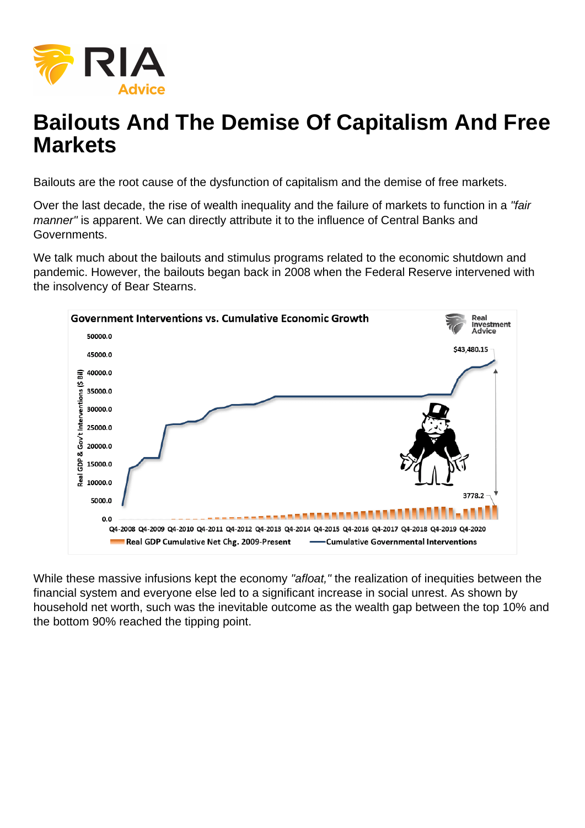# Bailouts And The Demise Of Capitalism And Free **Markets**

Bailouts are the root cause of the dysfunction of capitalism and the demise of free markets.

Over the last decade, the rise of wealth inequality and the failure of markets to function in a "fair manner" is apparent. We can directly attribute it to the influence of Central Banks and Governments.

We talk much about the bailouts and stimulus programs related to the economic shutdown and pandemic. However, the bailouts began back in 2008 when the Federal Reserve intervened with the insolvency of Bear Stearns.

While these massive infusions kept the economy "afloat," the realization of inequities between the financial system and everyone else led to a significant increase in social unrest. As shown by household net worth, such was the inevitable outcome as the wealth gap between the top 10% and the bottom 90% reached the tipping point.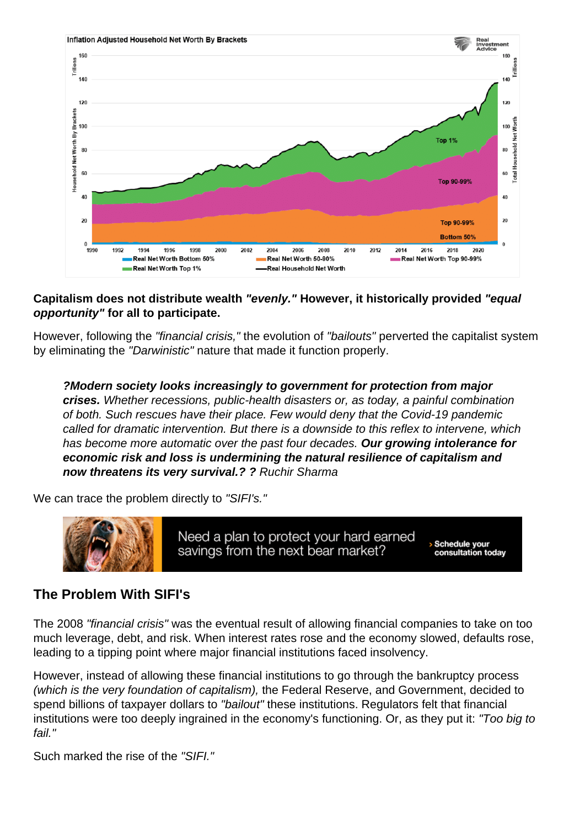Capitalism does not distribute wealth "evenly." However, it historically provided "equal opportunity" for all to participate.

However, following the "financial crisis," the evolution of "bailouts" perverted the capitalist system by eliminating the "Darwinistic" nature that made it function properly.

?Modern society looks increasingly to government for protection from major crises. Whether recessions, public-health disasters or, as today, a painful combination of both. Such rescues have their place. Few would deny that the Covid-19 pandemic called for dramatic intervention. But there is a downside to this reflex to intervene, which has become more automatic over the past four decades. Our growing intolerance for economic risk and loss is undermining the natural resilience of capitalism and now threatens its very survival.? ? Ruchir Sharma

We can trace the problem directly to "SIFI's."

### The Problem With SIFI's

The 2008 "financial crisis" was the eventual result of allowing financial companies to take on too much leverage, debt, and risk. When interest rates rose and the economy slowed, defaults rose, leading to a tipping point where major financial institutions faced insolvency.

However, instead of allowing these financial institutions to go through the bankruptcy process (which is the very foundation of capitalism), the Federal Reserve, and Government, decided to spend billions of taxpayer dollars to "bailout" these institutions. Regulators felt that financial institutions were too deeply ingrained in the economy's functioning. Or, as they put it: "Too big to fail."

Such marked the rise of the "SIFI."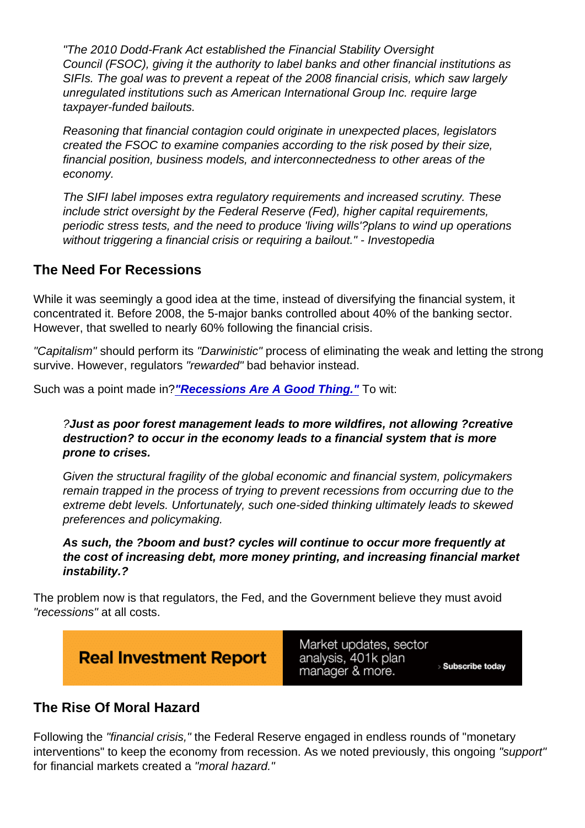"The 2010 Dodd-Frank Act established the Financial Stability Oversight Council (FSOC), giving it the authority to label banks and other financial institutions as SIFIs. The goal was to prevent a repeat of the 2008 financial crisis, which saw largely unregulated institutions such as American International Group Inc. require large taxpayer-funded bailouts.

Reasoning that financial contagion could originate in unexpected places, legislators created the FSOC to examine companies according to the risk posed by their size, financial position, business models, and interconnectedness to other areas of the economy.

The SIFI label imposes extra regulatory requirements and increased scrutiny. These include strict oversight by the Federal Reserve (Fed), higher capital requirements, periodic stress tests, and the need to produce 'living wills'?plans to wind up operations without triggering a financial crisis or requiring a bailout." - Investopedia

#### The Need For Recessions

While it was seemingly a good idea at the time, instead of diversifying the financial system, it concentrated it. Before 2008, the 5-major banks controlled about 40% of the banking sector. However, that swelled to nearly 60% following the financial crisis.

"Capitalism" should perform its "Darwinistic" process of eliminating the weak and letting the strong survive. However, regulators "rewarded" bad behavior instead.

Such was a point made in[?"Recessions Are A Good Thing."](https://realinvestmentadvice.com/macroview-recessions-are-a-good-thing-let-them-happen/) To wit:

?Just as poor forest management leads to more wildfires, not allowing ?creative destruction? to occur in the economy leads to a financial system that is more prone to crises.

Given the structural fragility of the global economic and financial system, policymakers remain trapped in the process of trying to prevent recessions from occurring due to the extreme debt levels. Unfortunately, such one-sided thinking ultimately leads to skewed preferences and policymaking.

As such, the ?boom and bust? cycles will continue to occur more frequently at the cost of increasing debt, more money printing, and increasing financial market instability.?

The problem now is that regulators, the Fed, and the Government believe they must avoid "recessions" at all costs.

### The Rise Of Moral Hazard

Following the "financial crisis," the Federal Reserve engaged in endless rounds of "monetary interventions" to keep the economy from recession. As we noted previously, this ongoing "support" for financial markets created a "moral hazard."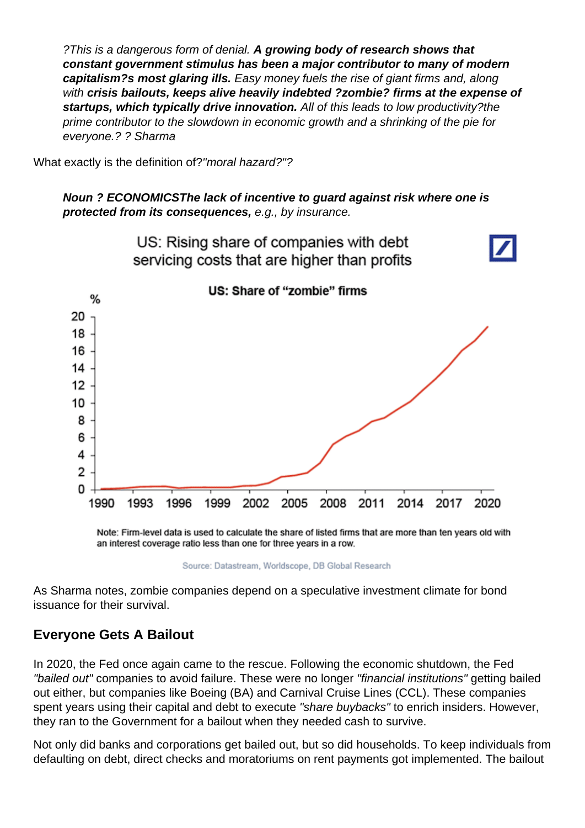?This is a dangerous form of denial. A growing body of research shows that constant government stimulus has been a major contributor to many of modern capitalism?s most glaring ills. Easy money fuels the rise of giant firms and, along with crisis bailouts, keeps alive heavily indebted ?zombie? firms at the expense of startups, which typically drive innovation. All of this leads to low productivity?the prime contributor to the slowdown in economic growth and a shrinking of the pie for everyone.? ? Sharma

What exactly is the definition of?"moral hazard?"?

Noun ? ECONOMICSThe lack of incentive to guard against risk where one is protected from its consequences, e.g., by insurance.

As Sharma notes, zombie companies depend on a speculative investment climate for bond issuance for their survival.

### Everyone Gets A Bailout

In 2020, the Fed once again came to the rescue. Following the economic shutdown, the Fed "bailed out" companies to avoid failure. These were no longer "financial institutions" getting bailed out either, but companies like Boeing (BA) and Carnival Cruise Lines (CCL). These companies spent years using their capital and debt to execute "share buybacks" to enrich insiders. However, they ran to the Government for a bailout when they needed cash to survive.

Not only did banks and corporations get bailed out, but so did households. To keep individuals from defaulting on debt, direct checks and moratoriums on rent payments got implemented. The bailout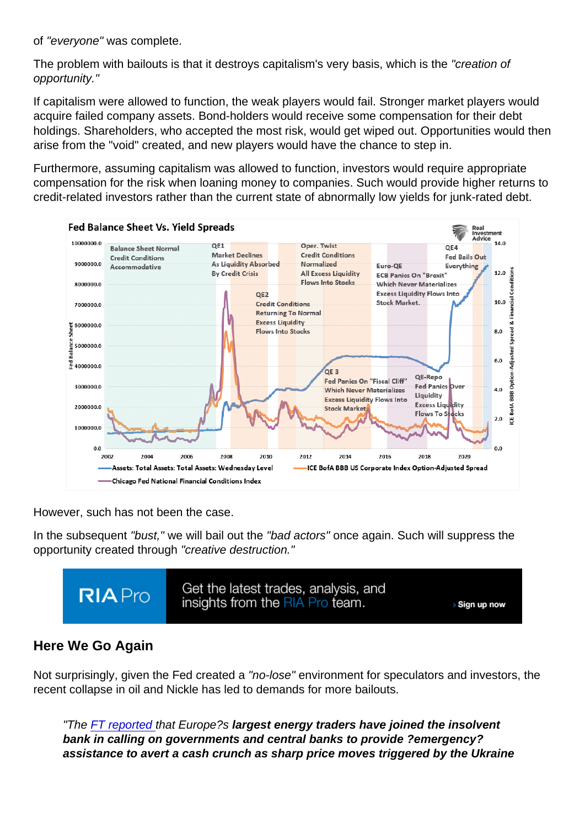of "everyone" was complete.

The problem with bailouts is that it destroys capitalism's very basis, which is the "creation of opportunity."

If capitalism were allowed to function, the weak players would fail. Stronger market players would acquire failed company assets. Bond-holders would receive some compensation for their debt holdings. Shareholders, who accepted the most risk, would get wiped out. Opportunities would then arise from the "void" created, and new players would have the chance to step in.

Furthermore, assuming capitalism was allowed to function, investors would require appropriate compensation for the risk when loaning money to companies. Such would provide higher returns to credit-related investors rather than the current state of abnormally low yields for junk-rated debt.

However, such has not been the case.

In the subsequent "bust," we will bail out the "bad actors" once again. Such will suppress the opportunity created through "creative destruction."

Here We Go Again

Not surprisingly, given the Fed created a "no-lose" environment for speculators and investors, the recent collapse in oil and Nickle has led to demands for more bailouts.

"The [FT reported](https://www.ft.com/content/6cdc4859-db8c-4137-8436-2a10cb50f579) that Europe?s largest energy traders have joined the insolvent bank in calling on governments and central banks to provide ?emergency? assistance to avert a cash crunch as sharp price moves triggered by the Ukraine